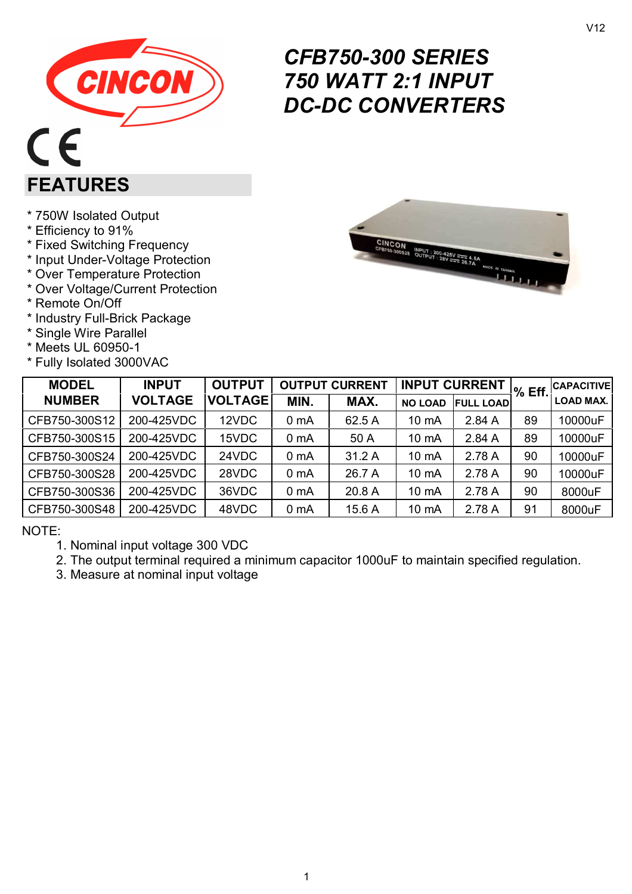

# *CFB750-300 SERIES 750 WATT 2:1 INPUT DC-DC CONVERTERS*

\* 750W Isolated Output

\* Efficiency to 91%

**FEATURES** 

- \* Fixed Switching Frequency
- \* Input Under-Voltage Protection
- \* Over Temperature Protection
- \* Over Voltage/Current Protection
- \* Remote On/Off
- \* Industry Full-Brick Package
- \* Single Wire Parallel
- \* Meets UL 60950-1
- \* Fully Isolated 3000VAC



| <b>MODEL</b>  | <b>INPUT</b>   | <b>OUTPUT</b>  |                  | <b>OUTPUT CURRENT</b> |                | <b>INPUT CURRENT</b> | $%$ Eff. | <b>CAPACITIVE</b> |
|---------------|----------------|----------------|------------------|-----------------------|----------------|----------------------|----------|-------------------|
| <b>NUMBER</b> | <b>VOLTAGE</b> | <b>VOLTAGE</b> | MIN.             | MAX.                  | <b>NO LOAD</b> | <b>FULL LOAD</b>     |          | <b>LOAD MAX.</b>  |
| CFB750-300S12 | 200-425VDC     | 12VDC          | 0 <sub>m</sub> A | 62.5 A                | 10 mA          | 2.84A                | 89       | 10000uF           |
| CFB750-300S15 | 200-425VDC     | 15VDC          | 0 <sub>m</sub> A | 50 A                  | 10 mA          | 2.84 A               | 89       | 10000uF           |
| CFB750-300S24 | 200-425VDC     | 24VDC          | 0 <sub>m</sub> A | 31.2 A                | 10 mA          | 2.78 A               | 90       | 10000uF           |
| CFB750-300S28 | 200-425VDC     | 28VDC          | 0 <sub>m</sub> A | 26.7 A                | 10 mA          | 2.78 A               | 90       | 10000uF           |
| CFB750-300S36 | 200-425VDC     | 36VDC          | 0 <sub>m</sub> A | 20.8 A                | 10 mA          | 2.78 A               | 90       | 8000uF            |
| CFB750-300S48 | 200-425VDC     | 48VDC          | 0 <sub>m</sub> A | 15.6 A                | 10 mA          | 2.78 A               | 91       | 8000uF            |

NOTE:

1. Nominal input voltage 300 VDC

2. The output terminal required a minimum capacitor 1000uF to maintain specified regulation.

3. Measure at nominal input voltage